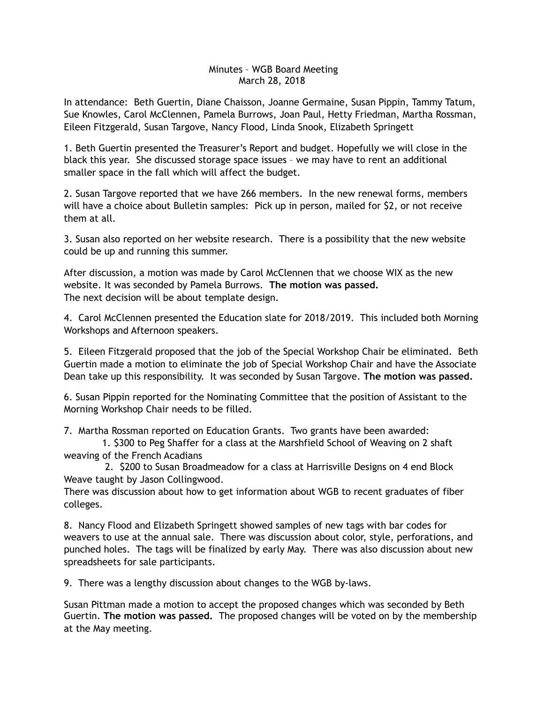## Minutes – WGB Board Meeting March 28, 2018

In attendance: Beth Guertin, Diane Chaisson, Joanne Germaine, Susan Pippin, Tammy Tatum, Sue Knowles, Carol McClennen, Pamela Burrows, Joan Paul, Hetty Friedman, Martha Rossman, Eileen Fitzgerald, Susan Targove, Nancy Flood, Linda Snook, Elizabeth Springett

1. Beth Guertin presented the Treasurer's Report and budget. Hopefully we will close in the black this year. She discussed storage space issues – we may have to rent an additional smaller space in the fall which will affect the budget.

2. Susan Targove reported that we have 266 members. In the new renewal forms, members will have a choice about Bulletin samples: Pick up in person, mailed for \$2, or not receive them at all.

3. Susan also reported on her website research. There is a possibility that the new website could be up and running this summer.

After discussion, a motion was made by Carol McClennen that we choose WIX as the new website. It was seconded by Pamela Burrows. **The motion was passed.** The next decision will be about template design.

4. Carol McClennen presented the Education slate for 2018/2019. This included both Morning Workshops and Afternoon speakers.

5. Eileen Fitzgerald proposed that the job of the Special Workshop Chair be eliminated. Beth Guertin made a motion to eliminate the job of Special Workshop Chair and have the Associate Dean take up this responsibility. It was seconded by Susan Targove. **The motion was passed.** 

6. Susan Pippin reported for the Nominating Committee that the position of Assistant to the Morning Workshop Chair needs to be filled.

7. Martha Rossman reported on Education Grants. Two grants have been awarded:

 1. \$300 to Peg Shaffer for a class at the Marshfield School of Weaving on 2 shaft weaving of the French Acadians

 2. \$200 to Susan Broadmeadow for a class at Harrisville Designs on 4 end Block Weave taught by Jason Collingwood.

There was discussion about how to get information about WGB to recent graduates of fiber colleges.

8. Nancy Flood and Elizabeth Springett showed samples of new tags with bar codes for weavers to use at the annual sale. There was discussion about color, style, perforations, and punched holes. The tags will be finalized by early May. There was also discussion about new spreadsheets for sale participants.

9. There was a lengthy discussion about changes to the WGB by-laws.

Susan Pittman made a motion to accept the proposed changes which was seconded by Beth Guertin. **The motion was passed.** The proposed changes will be voted on by the membership at the May meeting.